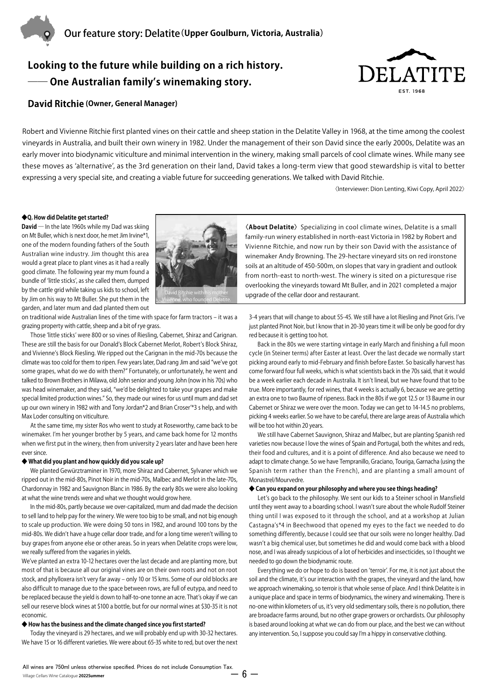

# **Looking to the future while building on a rich history. One Australian family's winemaking story.**



# **David Ritchie (Owner, General Manager)**

Robert and Vivienne Ritchie first planted vines on their cattle and sheep station in the Delatite Valley in 1968, at the time among the coolest vineyards in Australia, and built their own winery in 1982. Under the management of their son David since the early 2000s, Delatite was an early mover into biodynamic viticulture and minimal intervention in the winery, making small parcels of cool climate wines. While many see these moves as ʻalternative', as the 3rd generation on their land, David takes a long-term view that good stewardship is vital to better expressing a very special site, and creating a viable future for succeeding generations. We talked with David Ritchie.

〈Interviewer: Dion Lenting, Kiwi Copy, April 2022〉

#### **◆Q. How did Delatite get started?**

**David ―** In the late 1960s while my Dad was skiing on Mt Buller, which is next door, he met Jim Irvine\*1, one of the modern founding fathers of the South Australian wine industry. Jim thought this area would a great place to plant vines as it had a really good climate. The following year my mum found a bundle of ʻlittle sticks', as she called them, dumped by the cattle grid while taking us kids to school, left by Jim on his way to Mt Buller. She put them in the garden, and later mum and dad planted them out



on traditional wide Australian lines of the time with space for farm tractors – it was a grazing property with cattle, sheep and a bit of rye grass.

Those ʻlittle sticks' were 800 or so vines of Riesling, Cabernet, Shiraz and Carignan. These are still the basis for our Donald's Block Cabernet Merlot, Robert's Block Shiraz, and Vivienne's Block Riesling. We ripped out the Carignan in the mid-70s because the climate was too cold for them to ripen. Few years later, Dad rang Jim and said "we've got some grapes, what do we do with them?" Fortunately, or unfortunately, he went and talked to Brown Brothers in Milawa, old John senior and young John (now in his 70s) who was head winemaker, and they said, "we'd be delighted to take your grapes and make special limited production wines." So, they made our wines for us until mum and dad set up our own winery in 1982 with and Tony Jordan\*2 and Brian Croser'\*3 s help, and with Max Loder consulting on viticulture.

At the same time, my sister Ros who went to study at Roseworthy, came back to be winemaker. I'm her younger brother by 5 years, and came back home for 12 months when we first put in the winery, then from university 2 years later and have been here ever since.

#### **◆ What did you plant and how quickly did you scale up?**

We planted Gewürztraminer in 1970, more Shiraz and Cabernet, Sylvaner which we ripped out in the mid-80s, Pinot Noir in the mid-70s, Malbec and Merlot in the late-70s, Chardonnay in 1982 and Sauvignon Blanc in 1986. By the early 80s we were also looking at what the wine trends were and what we thought would grow here.

In the mid-80s, partly because we over-capitalized, mum and dad made the decision to sell land to help pay for the winery. We were too big to be small, and not big enough to scale up production. We were doing 50 tons in 1982, and around 100 tons by the mid-80s. We didn't have a huge cellar door trade, and for a long time weren't willing to buy grapes from anyone else or other areas. So in years when Delatite crops were low, we really suffered from the vagaries in yields.

We've planted an extra 10-12 hectares over the last decade and are planting more, but most of that is because all our original vines are on their own roots and not on root stock, and phylloxera isn't very far away – only 10 or 15 kms. Some of our old blocks are also difficult to manage due to the space between rows, are full of eutypa, and need to be replaced because the yield is down to half-to-one tonne an acre. That's okay if we can sell our reserve block wines at \$100 a bottle, but for our normal wines at \$30-35 it is not economic.

#### **◆ How has the business and the climate changed since you first started?**

Today the vineyard is 29 hectares, and we will probably end up with 30-32 hectares. We have 15 or 16 different varieties. We were about 65-35 white to red, but over the next

**〈About Delatite〉** Specializing in cool climate wines, Delatite is a small family-run winery established in north-east Victoria in 1982 by Robert and Vivienne Ritchie, and now run by their son David with the assistance of winemaker Andy Browning. The 29-hectare vineyard sits on red ironstone soils at an altitude of 450-500m, on slopes that vary in gradient and outlook from north-east to north-west. The winery is sited on a picturesque rise overlooking the vineyards toward Mt Buller, and in 2021 completed a major upgrade of the cellar door and restaurant.

3-4 years that will change to about 55-45. We still have a lot Riesling and Pinot Gris. I've just planted Pinot Noir, but I know that in 20-30 years time it will be only be good for dry red because it is getting too hot.

Back in the 80s we were starting vintage in early March and finishing a full moon cycle (in Steiner terms) after Easter at least. Over the last decade we normally start picking around early to mid-February and finish before Easter. So basically harvest has come forward four full weeks, which is what scientists back in the 70s said, that it would be a week earlier each decade in Australia. It isn't lineal, but we have found that to be true. More importantly, for red wines, that 4 weeks is actually 6, because we are getting an extra one to two Baume of ripeness. Back in the 80s if we got 12.5 or 13 Baume in our Cabernet or Shiraz we were over the moon. Today we can get to 14-14.5 no problems, picking 4 weeks earlier. So we have to be careful, there are large areas of Australia which will be too hot within 20 years.

We still have Cabernet Sauvignon, Shiraz and Malbec, but are planting Spanish red varieties now because I love the wines of Spain and Portugal, both the whites and reds, their food and cultures, and it is a point of difference. And also because we need to adapt to climate change. So we have Tempranillo, Graciano, Touriga, Garnacha (using the Spanish term rather than the French), and are planting a small amount of Monastrel/Mourvedre.

#### **◆ Can you expand on your philosophy and where you see things heading?**

Let's go back to the philosophy. We sent our kids to a Steiner school in Mansfield until they went away to a boarding school. I wasn't sure about the whole Rudolf Steiner thing until I was exposed to it through the school, and at a workshop at Julian Castagna's\*4 in Beechwood that opened my eyes to the fact we needed to do something differently, because I could see that our soils were no longer healthy. Dad wasn't a big chemical user, but sometimes he did and would come back with a blood nose, and I was already suspicious of a lot of herbicides and insecticides, so I thought we needed to go down the biodynamic route.

Everything we do or hope to do is based on ʻterroir'. For me, it is not just about the soil and the climate, it's our interaction with the grapes, the vineyard and the land, how we approach winemaking, so terroir is that whole sense of place. And I think Delatite is in a unique place and space in terms of biodynamics, the winery and winemaking. There is no-one within kilometers of us, it's very old sedimentary soils, there is no pollution, there are broadacre farms around, but no other grape growers or orchardists. Our philosophy is based around looking at what we can do from our place, and the best we can without any intervention. So, I suppose you could say I'm a hippy in conservative clothing.